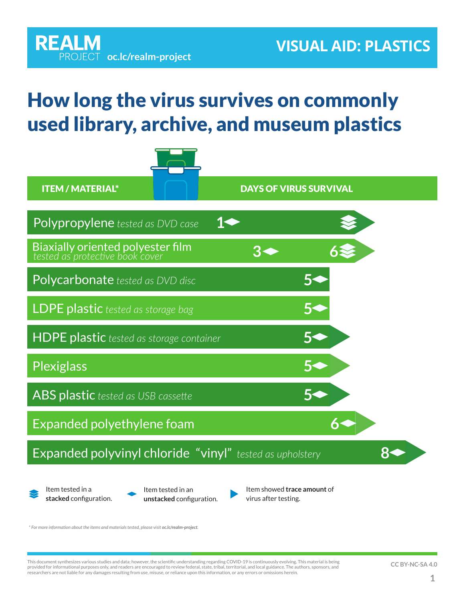## How long the virus survives on commonly used library, archive, and museum plastics

**[oc.lc/realm-project](http://oc.lc/realm-project)**

**REALM** 



*\* For more information about the items and materials tested, please visit [oc.lc/realm-project](http://oc.lc/realm-project).*

This document synthesizes various studies and data; however, the scientific understanding regarding COVID-19 is continuously evolving. This material is being<br>provided for informational purposes only, and readers are encour researchers are not liable for any damages resulting from use, misuse, or reliance upon this information, or any errors or omissions herein.